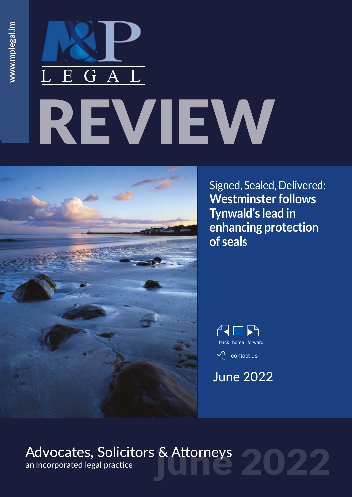# REVIEW LEGAL



Signed, Sealed, Delivered: **Westminster follows Tynwald's lead in enhancing protection of seals**



# June 2022

# Advocates, Solicitors & Attorneys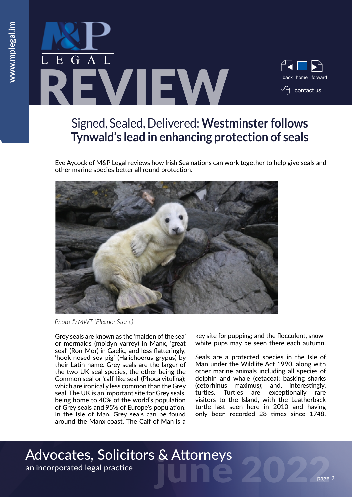

# Signed, Sealed, Delivered: **Westminster follows Tynwald's lead in enhancing protection of seals**

Eve Aycock of M&P Legal reviews how Irish Sea nations can work together to help give seals and other marine species better all round protection.



*Photo © MWT (Eleanor Stone)*

Grey seals are known as the 'maiden of the sea' or mermaids (moidyn varrey) in Manx, 'great seal' (Ron-Mor) in Gaelic, and less flatteringly, 'hook-nosed sea pig' (Halichoerus grypus) by their Latin name. Grey seals are the larger of the two UK seal species, the other being the Common seal or 'calf-like seal' (Phoca vitulina); which are ironically less common than the Grey seal. The UK is an important site for Grey seals, being home to 40% of the world's population of Grey seals and 95% of Europe's population. In the Isle of Man, Grey seals can be found around the Manx coast. The Calf of Man is a key site for pupping; and the flocculent, snowwhite pups may be seen there each autumn.

Seals are a protected species in the Isle of Man under the Wildlife Act 1990, along with other marine animals including all species of dolphin and whale (cetacea); basking sharks (cetorhinus maximus); and, interestingly, turtles. Turtles are exceptionally rare visitors to the Island, with the Leatherback turtle last seen here in 2010 and having only been recorded 28 times since 1748.

# Advocates, Solicitors & Attorneys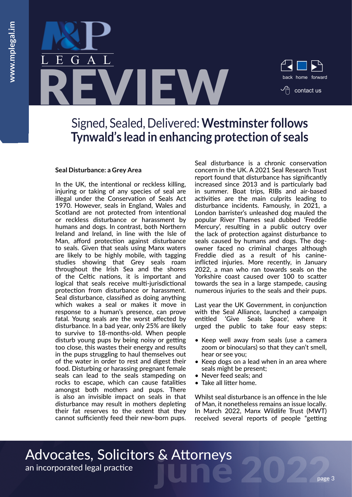

### Signed, Sealed, Delivered: **Westminster follows Tynwald's lead in enhancing protection of seals**

#### **Seal Disturbance: a Grey Area**

In the UK, the intentional or reckless killing, injuring or taking of any species of seal are illegal under the Conservation of Seals Act 1970. However, seals in England, Wales and Scotland are not protected from intentional or reckless disturbance or harassment by humans and dogs. In contrast, both Northern Ireland and Ireland, in line with the Isle of Man, afford protection against disturbance to seals. Given that seals using Manx waters are likely to be highly mobile, with tagging studies showing that Grey seals roam throughout the Irish Sea and the shores of the Celtic nations, it is important and logical that seals receive multi-jurisdictional protection from disturbance or harassment. Seal disturbance, classified as doing anything which wakes a seal or makes it move in response to a human's presence, can prove fatal. Young seals are the worst affected by disturbance. In a bad year, only 25% are likely to survive to 18-months-old. When people disturb young pups by being noisy or getting too close, this wastes their energy and results in the pups struggling to haul themselves out of the water in order to rest and digest their food. Disturbing or harassing pregnant female seals can lead to the seals stampeding on rocks to escape, which can cause fatalities amongst both mothers and pups. There is also an invisible impact on seals in that disturbance may result in mothers depleting their fat reserves to the extent that they cannot sufficiently feed their new-born pups.

Seal disturbance is a chronic conservation concern in the UK. A 2021 Seal Research Trust report found that disturbance has significantly increased since 2013 and is particularly bad in summer. Boat trips, RIBs and air-based activities are the main culprits leading to disturbance incidents. Famously, in 2021, a London barrister's unleashed dog mauled the popular River Thames seal dubbed 'Freddie Mercury', resulting in a public outcry over the lack of protection against disturbance to seals caused by humans and dogs. The dogowner faced no criminal charges although Freddie died as a result of his canineinflicted injuries. More recently, in January 2022, a man who ran towards seals on the Yorkshire coast caused over 100 to scatter towards the sea in a large stampede, causing numerous injuries to the seals and their pups.

Last year the UK Government, in conjunction with the Seal Alliance, launched a campaign entitled 'Give Seals Space', where it urged the public to take four easy steps:

- Keep well away from seals (use a camera zoom or binoculars) so that they can't smell, hear or see you;
- Keep dogs on a lead when in an area where seals might be present;
- Never feed seals; and
- Take all litter home.

Whilst seal disturbance is an offence in the Isle of Man, it nonetheless remains an issue locally. In March 2022, Manx Wildlife Trust (MWT) received several reports of people "getting

Advocates, Solicitors & Attorneys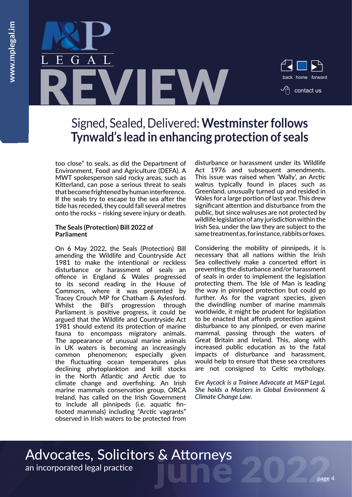

# Signed, Sealed, Delivered: **Westminster follows Tynwald's lead in enhancing protection of seals**

too close" to seals, as did the Department of Environment, Food and Agriculture (DEFA). A MWT spokesperson said rocky areas, such as Kitterland, can pose a serious threat to seals that become frightened by human interference. If the seals try to escape to the sea after the tide has receded, they could fall several metres onto the rocks – risking severe injury or death.

#### **The Seals (Protection) Bill 2022 of Parliament**

On 6 May 2022, the Seals (Protection) Bill amending the Wildlife and Countryside Act 1981 to make the intentional or reckless disturbance or harassment of seals an offence in England & Wales progressed to its second reading in the House of Commons, where it was presented by Tracey Crouch MP for Chatham & Aylesford. Whilst the Bill's progression through Parliament is positive progress, it could be argued that the Wildlife and Countryside Act 1981 should extend its protection of marine fauna to encompass migratory animals. The appearance of unusual marine animals in UK waters is becoming an increasingly common phenomenon; especially given the fluctuating ocean temperatures plus declining phytoplankton and krill stocks in the North Atlantic and Arctic due to climate change and overfishing. An Irish marine mammals conservation group, ORCA Ireland, has called on the Irish Government to include all pinnipeds (i.e. aquatic finfooted mammals) including "Arctic vagrants" observed in Irish waters to be protected from disturbance or harassment under its Wildlife Act 1976 and subsequent amendments. This issue was raised when 'Wally', an Arctic walrus typically found in places such as Greenland, unusually turned up and resided in Wales for a large portion of last year. This drew significant attention and disturbance from the public, but since walruses are not protected by wildlife legislation of any jurisdiction within the Irish Sea, under the law they are subject to the same treatment as, for instance, rabbits or foxes.

Considering the mobility of pinnipeds, it is necessary that all nations within the Irish Sea collectively make a concerted effort in preventing the disturbance and/or harassment of seals in order to implement the legislation protecting them. The Isle of Man is leading the way in pinniped protection but could go further. As for the vagrant species, given the dwindling number of marine mammals worldwide, it might be prudent for legislation to be enacted that affords protection against disturbance to any pinniped, or even marine mammal, passing through the waters of Great Britain and Ireland. This, along with increased public education as to the fatal impacts of disturbance and harassment, would help to ensure that these sea creatures are not consigned to Celtic mythology.

*Eve Aycock is a Trainee Advocate at M&P Legal. She holds a Masters in Global Environment & [C](mailto:ajq%40mplegal.im%20?subject=Offshore%20Assets%20and%20Isle%20of%20Man%20Probate)limate Change Law.*

# Advocates, Solicitors & Attorneys